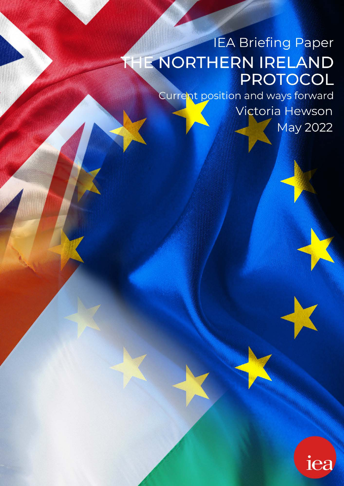# **IEA Briefing Paper** THE NORTHERN IRELAND PROTOCOL

Current position and ways forward

Victoria Hewson May 2022

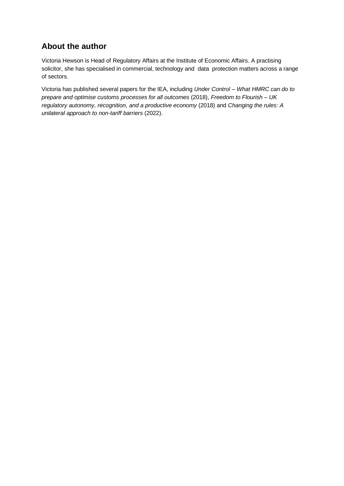# **About the author**

Victoria Hewson is Head of Regulatory Affairs at the Institute of Economic Affairs. A practising solicitor, she has specialised in commercial, technology and data protection matters across a range of sectors.

Victoria has published several papers for the IEA, including *Under Control – What HMRC can do to prepare and optimise customs processes for all outcomes* (2018), *Freedom to Flourish – UK regulatory autonomy, recognition, and a productive economy* (2018) and *Changing the rules: A unilateral approach to non-tariff barriers* (2022).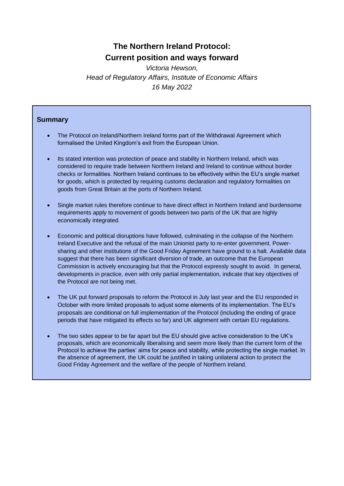# **The Northern Ireland Protocol: Current position and ways forward**

*Victoria Hewson, Head of Regulatory Affairs, Institute of Economic Affairs 16 May 2022*

#### **Summary**

- The Protocol on Ireland/Northern Ireland forms part of the Withdrawal Agreement which formalised the United Kingdom's exit from the European Union.
- Its stated intention was protection of peace and stability in Northern Ireland, which was considered to require trade between Northern Ireland and Ireland to continue without border checks or formalities. Northern Ireland continues to be effectively within the EU's single market for goods, which is protected by requiring customs declaration and regulatory formalities on goods from Great Britain at the ports of Northern Ireland.
- Single market rules therefore continue to have direct effect in Northern Ireland and burdensome requirements apply to movement of goods between two parts of the UK that are highly economically integrated.
- Economic and political disruptions have followed, culminating in the collapse of the Northern Ireland Executive and the refusal of the main Unionist party to re-enter government. Powersharing and other institutions of the Good Friday Agreement have ground to a halt. Available data suggest that there has been significant diversion of trade, an outcome that the European Commission is actively encouraging but that the Protocol expressly sought to avoid. In general, developments in practice, even with only partial implementation, indicate that key objectives of the Protocol are not being met.
- The UK put forward proposals to reform the Protocol in July last year and the EU responded in October with more limited proposals to adjust some elements of its implementation. The EU's proposals are conditional on full implementation of the Protocol (including the ending of grace periods that have mitigated its effects so far) and UK alignment with certain EU regulations.
- The two sides appear to be far apart but the EU should give active consideration to the UK's proposals, which are economically liberalising and seem more likely than the current form of the Protocol to achieve the parties' aims for peace and stability, while protecting the single market. In the absence of agreement, the UK could be justified in taking unilateral action to protect the Good Friday Agreement and the welfare of the people of Northern Ireland.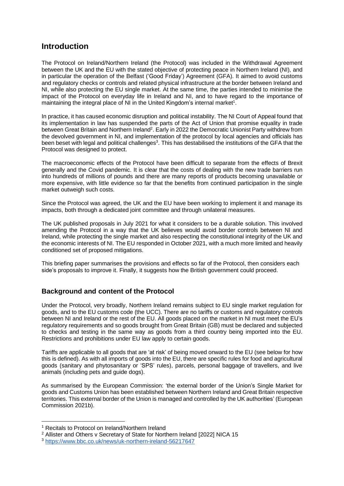#### **Introduction**

The Protocol on Ireland/Northern Ireland (the Protocol) was included in the Withdrawal Agreement between the UK and the EU with the stated objective of protecting peace in Northern Ireland (NI), and in particular the operation of the Belfast ('Good Friday') Agreement (GFA). It aimed to avoid customs and regulatory checks or controls and related physical infrastructure at the border between Ireland and NI, while also protecting the EU single market. At the same time, the parties intended to minimise the impact of the Protocol on everyday life in Ireland and NI, and to have regard to the importance of maintaining the integral place of NI in the United Kingdom's internal market<sup>1</sup>.

In practice, it has caused economic disruption and political instability. The NI Court of Appeal found that its implementation in law has suspended the parts of the Act of Union that promise equality in trade between Great Britain and Northern Ireland<sup>2</sup>. Early in 2022 the Democratic Unionist Party withdrew from the devolved government in NI, and implementation of the protocol by local agencies and officials has been beset with legal and political challenges<sup>3</sup>. This has destabilised the institutions of the GFA that the Protocol was designed to protect.

The macroeconomic effects of the Protocol have been difficult to separate from the effects of Brexit generally and the Covid pandemic. It is clear that the costs of dealing with the new trade barriers run into hundreds of millions of pounds and there are many reports of products becoming unavailable or more expensive, with little evidence so far that the benefits from continued participation in the single market outweigh such costs.

Since the Protocol was agreed, the UK and the EU have been working to implement it and manage its impacts, both through a dedicated joint committee and through unilateral measures.

The UK published proposals in July 2021 for what it considers to be a durable solution. This involved amending the Protocol in a way that the UK believes would avoid border controls between NI and Ireland, while protecting the single market and also respecting the constitutional integrity of the UK and the economic interests of NI. The EU responded in October 2021, with a much more limited and heavily conditioned set of proposed mitigations.

This briefing paper summarises the provisions and effects so far of the Protocol, then considers each side's proposals to improve it. Finally, it suggests how the British government could proceed.

#### **Background and content of the Protocol**

Under the Protocol, very broadly, Northern Ireland remains subject to EU single market regulation for goods, and to the EU customs code (the UCC). There are no tariffs or customs and regulatory controls between NI and Ireland or the rest of the EU. All goods placed on the market in NI must meet the EU's regulatory requirements and so goods brought from Great Britain (GB) must be declared and subjected to checks and testing in the same way as goods from a third country being imported into the EU. Restrictions and prohibitions under EU law apply to certain goods.

Tariffs are applicable to all goods that are 'at risk' of being moved onward to the EU (see below for how this is defined). As with all imports of goods into the EU, there are specific rules for food and agricultural goods (sanitary and phytosanitary or 'SPS' rules), parcels, personal baggage of travellers, and live animals (including pets and guide dogs).

As summarised by the European Commission: 'the external border of the Union's Single Market for goods and Customs Union has been established between Northern Ireland and Great Britain respective territories. This external border of the Union is managed and controlled by the UK authorities' (European Commission 2021b).

<sup>&</sup>lt;sup>1</sup> Recitals to Protocol on Ireland/Northern Ireland

<sup>&</sup>lt;sup>2</sup> Allister and Others v Secretary of State for Northern Ireland [2022] NICA 15

<sup>3</sup> <https://www.bbc.co.uk/news/uk-northern-ireland-56217647>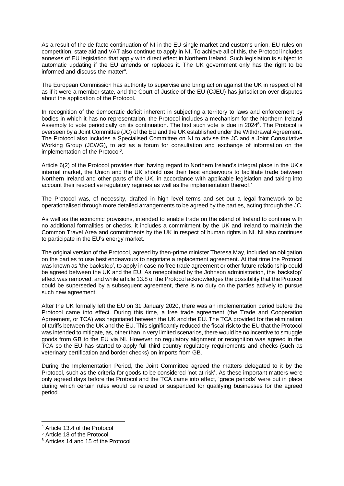As a result of the de facto continuation of NI in the EU single market and customs union, EU rules on competition, state aid and VAT also continue to apply in NI. To achieve all of this, the Protocol includes annexes of EU legislation that apply with direct effect in Northern Ireland. Such legislation is subject to automatic updating if the EU amends or replaces it. The UK government only has the right to be informed and discuss the matter<sup>4</sup>.

The European Commission has authority to supervise and bring action against the UK in respect of NI as if it were a member state, and the Court of Justice of the EU (CJEU) has jurisdiction over disputes about the application of the Protocol.

In recognition of the democratic deficit inherent in subjecting a territory to laws and enforcement by bodies in which it has no representation, the Protocol includes a mechanism for the Northern Ireland Assembly to vote periodically on its continuation. The first such vote is due in 2024<sup>5</sup>. The Protocol is overseen by a Joint Committee (JC) of the EU and the UK established under the Withdrawal Agreement. The Protocol also includes a Specialised Committee on NI to advise the JC and a Joint Consultative Working Group (JCWG), to act as a forum for consultation and exchange of information on the implementation of the Protocol<sup>6</sup>.

Article 6(2) of the Protocol provides that 'having regard to Northern Ireland's integral place in the UK's internal market, the Union and the UK should use their best endeavours to facilitate trade between Northern Ireland and other parts of the UK, in accordance with applicable legislation and taking into account their respective regulatory regimes as well as the implementation thereof.'

The Protocol was, of necessity, drafted in high level terms and set out a legal framework to be operationalised through more detailed arrangements to be agreed by the parties, acting through the JC.

As well as the economic provisions, intended to enable trade on the island of Ireland to continue with no additional formalities or checks, it includes a commitment by the UK and Ireland to maintain the Common Travel Area and commitments by the UK in respect of human rights in NI. NI also continues to participate in the EU's energy market.

The original version of the Protocol, agreed by then-prime minister Theresa May, included an obligation on the parties to use best endeavours to negotiate a replacement agreement. At that time the Protocol was known as 'the backstop', to apply in case no free trade agreement or other future relationship could be agreed between the UK and the EU. As renegotiated by the Johnson administration, the 'backstop' effect was removed, and while article 13.8 of the Protocol acknowledges the possibility that the Protocol could be superseded by a subsequent agreement, there is no duty on the parties actively to pursue such new agreement.

After the UK formally left the EU on 31 January 2020, there was an implementation period before the Protocol came into effect. During this time, a free trade agreement (the Trade and Cooperation Agreement, or TCA) was negotiated between the UK and the EU. The TCA provided for the elimination of tariffs between the UK and the EU. This significantly reduced the fiscal risk to the EU that the Protocol was intended to mitigate, as, other than in very limited scenarios, there would be no incentive to smuggle goods from GB to the EU via NI. However no regulatory alignment or recognition was agreed in the TCA so the EU has started to apply full third country regulatory requirements and checks (such as veterinary certification and border checks) on imports from GB.

During the Implementation Period, the Joint Committee agreed the matters delegated to it by the Protocol, such as the criteria for goods to be considered 'not at risk'. As these important matters were only agreed days before the Protocol and the TCA came into effect, 'grace periods' were put in place during which certain rules would be relaxed or suspended for qualifying businesses for the agreed period.

<sup>4</sup> Article 13.4 of the Protocol

<sup>5</sup> Article 18 of the Protocol

<sup>6</sup> Articles 14 and 15 of the Protocol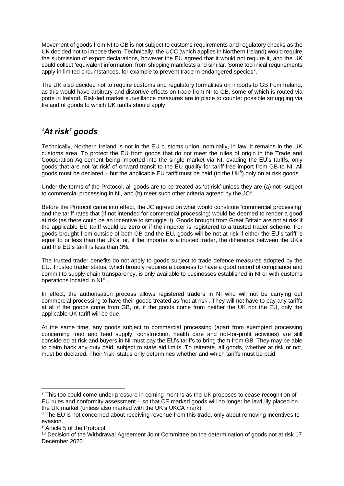Movement of goods from NI to GB is not subject to customs requirements and regulatory checks as the UK decided not to impose them. Technically, the UCC (which applies in Northern Ireland) would require the submission of export declarations, however the EU agreed that it would not require it, and the UK could collect 'equivalent information' from shipping manifests and similar. Some technical requirements apply in limited circumstances, for example to prevent trade in endangered species<sup>7</sup>.

The UK also decided not to require customs and regulatory formalities on imports to GB from Ireland, as this would have arbitrary and distortive effects on trade from NI to GB, some of which is routed via ports in Ireland. Risk-led market surveillance measures are in place to counter possible smuggling via Ireland of goods to which UK tariffs should apply.

# *'At risk' goods*

Technically, Northern Ireland is not in the EU customs union; nominally, in law, it remains in the UK customs area. To protect the EU from goods that do not meet the rules of origin in the Trade and Cooperation Agreement being imported into the single market via NI, evading the EU's tariffs, only goods that are not 'at risk' of onward transit to the EU qualify for tariff-free import from GB to NI. All goods must be declared  $-$  but the applicable EU tariff must be paid (to the UK $\delta$ ) only on at risk goods.

Under the terms of the Protocol, all goods are to be treated as 'at risk' unless they are (a) not subject to commercial processing in NI, and (b) meet such other criteria agreed by the  $JC<sup>9</sup>$ .

Before the Protocol came into effect, the JC agreed on what would constitute 'commercial processing' and the tariff rates that (if not intended for commercial processing) would be deemed to render a good at risk (as there could be an incentive to smuggle it). Goods brought from Great Britain are not at risk if the applicable EU tariff would be zero or if the importer is registered to a trusted trader scheme. For goods brought from outside of both GB and the EU, goods will be not at risk if either the EU's tariff is equal to or less than the UK's, or, if the importer is a trusted trader, the difference between the UK's and the EU's tariff is less than 3%.

The trusted trader benefits do not apply to goods subject to trade defence measures adopted by the EU. Trusted trader status, which broadly requires a business to have a good record of compliance and commit to supply chain transparency, is only available to businesses established in NI or with customs operations located in NI<sup>10</sup>[.](https://02077998900-my.sharepoint.com/personal/vhewson_iea_org_uk/Documents/NIP%20Briefing%2015042022.docx#_ftn8)

In effect, the authorisation process allows registered traders in NI who will not be carrying out commercial processing to have their goods treated as 'not at risk'. They will not have to pay any tariffs at all if the goods come from GB, or, if the goods come from neither the UK nor the EU, only the applicable UK tariff will be due.

At the same time, any goods subject to commercial processing (apart from exempted processing concerning food and feed supply, construction, health care and not-for-profit activities) are still considered at risk and buyers in NI must pay the EU's tariffs to bring them from GB. They may be able to claim back any duty paid, subject to state aid limits. To reiterate, all goods, whether at risk or not, must be declared. Their 'risk' status only determines whether and which tariffs must be paid.

 $<sup>7</sup>$  This too could come under pressure in coming months as the UK proposes to cease recognition of</sup> EU rules and conformity assessment – so that CE marked goods will no longer be lawfully placed on the UK market (unless also marked with the UK's UKCA mark).

<sup>&</sup>lt;sup>8</sup> The EU is not concerned about receiving revenue from this trade, only about removing incentives to evasion.

<sup>9</sup> Article 5 of the Protocol

<sup>&</sup>lt;sup>10</sup> Decision of the Withdrawal Agreement Joint Committee on the determination of goods not at risk 17 December 2020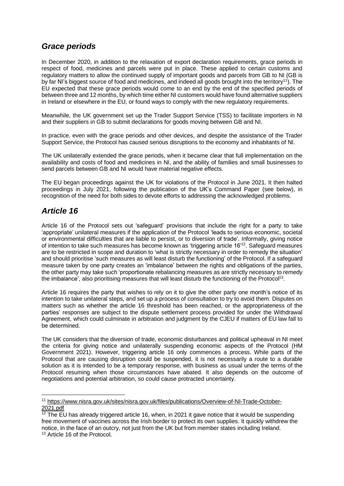#### *Grace periods*

In December 2020, in addition to the relaxation of export declaration requirements, grace periods in respect of food, medicines and parcels were put in place. These applied to certain customs and regulatory matters to allow the continued supply of important goods and parcels from GB to NI (GB is by far NI's biggest source of food and medicines, and indeed all goods brought into the territory<sup>11</sup>). The EU expected that these grace periods would come to an end by the end of the specified periods of between three and 12 months, by which time either NI customers would have found alternative suppliers in Ireland or elsewhere in the EU, or found ways to comply with the new regulatory requirements.

Meanwhile, the UK government set up the Trader Support Service (TSS) to facilitate importers in NI and their suppliers in GB to submit declarations for goods moving between GB and NI.

In practice, even with the grace periods and other devices, and despite the assistance of the Trader Support Service, the Protocol has caused serious disruptions to the economy and inhabitants of NI.

The UK unilaterally extended the grace periods, when it became clear that full implementation on the availability and costs of food and medicines in NI, and the ability of families and small businesses to send parcels between GB and NI would have material negative effects.

The EU began proceedings against the UK for violations of the Protocol in June 2021. It then halted proceedings in July 2021, following the publication of the UK's Command Paper (see below), in recognition of the need for both sides to devote efforts to addressing the acknowledged problems.

### *Article 16*

Article 16 of the Protocol sets out 'safeguard' provisions that include the right for a party to take 'appropriate' unilateral measures if the application of the Protocol 'leads to serious economic, societal or environmental difficulties that are liable to persist, or to diversion of trade'. Informally, giving notice of intention to take such measures has become known as 'triggering article 16'<sup>12</sup>. Safeguard measures are to be restricted in scope and duration to 'what is strictly necessary in order to remedy the situation' and should prioritise 'such measures as will least disturb the functioning' of the Protocol. If a safeguard measure taken by one party creates an 'imbalance' between the rights and obligations of the parties, the other party may take such 'proportionate rebalancing measures as are strictly necessary to remedy the imbalance', also prioritising measures that will least disturb the functioning of the Protocol<sup>13</sup>.

Article 16 requires the party that wishes to rely on it to give the other party one month's notice of its intention to take unilateral steps, and set up a process of consultation to try to avoid them. Disputes on matters such as whether the article 16 threshold has been reached, or the appropriateness of the parties' responses are subject to the dispute settlement process provided for under the Withdrawal Agreement, which could culminate in arbitration and judgment by the CJEU if matters of EU law fall to be determined.

The UK considers that the diversion of trade, economic disturbances and political upheaval in NI meet the criteria for giving notice and unilaterally suspending economic aspects of the Protocol (HM Government 2021). However, triggering article 16 only commences a process. While parts of the Protocol that are causing disruption could be suspended, it is not necessarily a route to a durable solution as it is intended to be a temporary response, with business as usual under the terms of the Protocol resuming when those circumstances have abated. It also depends on the outcome of negotiations and potential arbitration, so could cause protracted uncertainty.

<sup>11</sup> [https://www.nisra.gov.uk/sites/nisra.gov.uk/files/publications/Overview-of-NI-Trade-October-](https://www.nisra.gov.uk/sites/nisra.gov.uk/files/publications/Overview-of-NI-Trade-October-2021.pdf)[2021.pdf](https://www.nisra.gov.uk/sites/nisra.gov.uk/files/publications/Overview-of-NI-Trade-October-2021.pdf)

 $\frac{12}{12}$  The EU has already triggered article 16, when, in 2021 it gave notice that it would be suspending free movement of vaccines across the Irish border to protect its own supplies. It quickly withdrew the notice, in the face of an outcry, not just from the UK but from member states including Ireland. <sup>13</sup> Article 16 of the Protocol.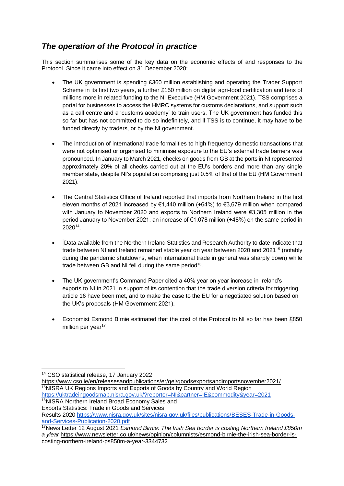## *The operation of the Protocol in practice*

This section summarises some of the key data on the economic effects of and responses to the Protocol. Since it came into effect on 31 December 2020:

- The UK government is spending £360 million establishing and operating the Trader Support Scheme in its first two years, a further £150 million on digital agri-food certification and tens of millions more in related funding to the NI Executive (HM Government 2021). TSS comprises a portal for businesses to access the HMRC systems for customs declarations, and support such as a call centre and a 'customs academy' to train users. The UK government has funded this so far but has not committed to do so indefinitely, and if TSS is to continue, it may have to be funded directly by traders, or by the NI government.
- The introduction of international trade formalities to high frequency domestic transactions that were not optimised or organised to minimise exposure to the EU's external trade barriers was pronounced. In January to March 2021, checks on goods from GB at the ports in NI represented approximately 20% of all checks carried out at the EU's borders and more than any single member state, despite NI's population comprising just 0.5% of that of the EU (HM Government 2021).
- The Central Statistics Office of Ireland reported that imports from Northern Ireland in the first eleven months of 2021 increased by €1,440 million (+64%) to €3,679 million when compared with January to November 2020 and exports to Northern Ireland were  $\epsilon$ 3,305 million in the period January to November 2021, an increase of €1,078 million (+48%) on the same period in 2020<sup>14</sup> .
- Data available from the Northern Ireland Statistics and Research Authority to date indicate that trade between NI and Ireland remained stable year on year between 2020 and 2021<sup>15</sup> (notably during the pandemic shutdowns, when international trade in general was sharply down) while trade between GB and NI fell during the same period<sup>16</sup>.
- The UK government's Command Paper cited a 40% year on year increase in Ireland's exports to NI in 2021 in support of its contention that the trade diversion criteria for triggering article 16 have been met, and to make the case to the EU for a negotiated solution based on the UK's proposals (HM Government 2021).
- Economist Esmond Birnie estimated that the cost of the Protocol to NI so far has been £850 million per year<sup>17</sup>

<sup>14</sup> CSO statistical release, 17 January 2022

<https://www.cso.ie/en/releasesandpublications/er/gei/goodsexportsandimportsnovember2021/> <sup>15</sup>NISRA UK Regions Imports and Exports of Goods by Country and World Region <https://uktradeingoodsmap.nisra.gov.uk/?reporter=NI&partner=IE&commodity&year=2021>

<sup>16</sup>NISRA Northern Ireland Broad Economy Sales and

Exports Statistics: Trade in Goods and Services Results 2020 [https://www.nisra.gov.uk/sites/nisra.gov.uk/files/publications/BESES-Trade-in-Goods](https://www.nisra.gov.uk/sites/nisra.gov.uk/files/publications/BESES-Trade-in-Goods-and-Services-Publication-2020.pdf)[and-Services-Publication-2020.pdf](https://www.nisra.gov.uk/sites/nisra.gov.uk/files/publications/BESES-Trade-in-Goods-and-Services-Publication-2020.pdf)

<sup>17</sup>News Letter 12 August 2021 *Esmond Birnie: The Irish Sea border is costing Northern Ireland £850m a yiear* [https://www.newsletter.co.uk/news/opinion/columnists/esmond-birnie-the-irish-sea-border-is](https://www.newsletter.co.uk/news/opinion/columnists/esmond-birnie-the-irish-sea-border-is-costing-northern-ireland-ps850m-a-year-3344732)[costing-northern-ireland-ps850m-a-year-3344732](https://www.newsletter.co.uk/news/opinion/columnists/esmond-birnie-the-irish-sea-border-is-costing-northern-ireland-ps850m-a-year-3344732)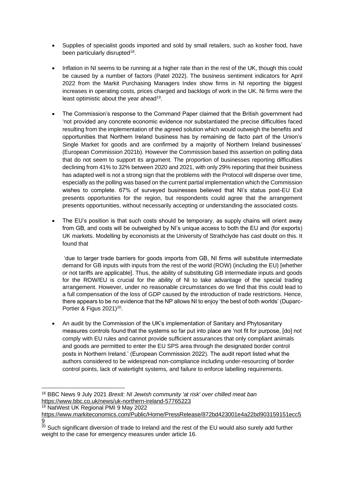- Supplies of specialist goods imported and sold by small retailers, such as kosher food, have been particularly disrupted<sup>18</sup>.
- Inflation in NI seems to be running at a higher rate than in the rest of the UK, though this could be caused by a number of factors (Patel 2022). The business sentiment indicators for April 2022 from the Markit Purchasing Managers Index show firms in NI reporting the biggest increases in operating costs, prices charged and backlogs of work in the UK. Ni firms were the least optimistic about the year ahead<sup>19</sup>.
- The Commission's response to the Command Paper claimed that the British government had 'not provided any concrete economic evidence nor substantiated the precise difficulties faced resulting from the implementation of the agreed solution which would outweigh the benefits and opportunities that Northern Ireland business has by remaining de facto part of the Union's Single Market for goods and are confirmed by a majority of Northern Ireland businesses' (European Commission 2021b). However the Commission based this assertion on polling data that do not seem to support its argument. The proportion of businesses reporting difficulties declining from 41% to 32% between 2020 and 2021, with only 29% reporting that their business has adapted well is not a strong sign that the problems with the Protocol will disperse over time, especially as the polling was based on the current partial implementation which the Commission wishes to complete. 67% of surveyed businesses believed that NI's status post-EU Exit presents opportunities for the region, but respondents could agree that the arrangement presents opportunities, without necessarily accepting or understanding the associated costs.
- The EU's position is that such costs should be temporary, as supply chains will orient away from GB, and costs will be outweighed by NI's unique access to both the EU and (for exports) UK markets. Modelling by economists at the University of Strathclyde has cast doubt on this. It found that

'due to larger trade barriers for goods imports from GB, NI firms will substitute intermediate demand for GB inputs with inputs from the rest of the world (ROW) (including the EU) [whether or not tariffs are applicable]. Thus, the ability of substituting GB intermediate inputs and goods for the ROW/EU is crucial for the ability of NI to take advantage of the special trading arrangement. However, under no reasonable circumstances do we find that this could lead to a full compensation of the loss of GDP caused by the introduction of trade restrictions. Hence, there appears to be no evidence that the NP allows NI to enjoy 'the best of both worlds' (Duparc-Portier & Figus  $2021$ )<sup>20</sup>.

• An audit by the Commission of the UK's implementation of Sanitary and Phytosanitary measures controls found that the systems so far put into place are 'not fit for purpose, [do] not comply with EU rules and cannot provide sufficient assurances that only compliant animals and goods are permitted to enter the EU SPS area through the designated border control posts in Northern Ireland.' (European Commission 2022). The audit report listed what the authors considered to be widespread non-compliance including under-resourcing of border control points, lack of watertight systems, and failure to enforce labelling requirements.

<sup>19</sup> NatWest UK Regional PMI 9 May 2022

<sup>18</sup> BBC News 9 July 2021 *Brexit: NI Jewish community 'at risk' over chilled meat ban* <https://www.bbc.co.uk/news/uk-northern-ireland-57765223>

[https://www.markiteconomics.com/Public/Home/PressRelease/872bd423001e4a22bd903159151ecc5](https://www.markiteconomics.com/Public/Home/PressRelease/872bd423001e4a22bd903159151ecc59) <u>[9](https://www.markiteconomics.com/Public/Home/PressRelease/872bd423001e4a22bd903159151ecc59)</u>

 $^{20}$  Such significant diversion of trade to Ireland and the rest of the EU would also surely add further weight to the case for emergency measures under article 16.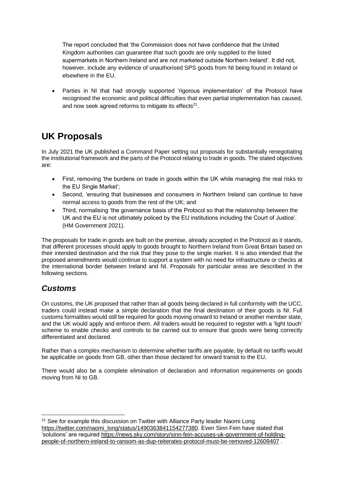The report concluded that 'the Commission does not have confidence that the United Kingdom authorities can guarantee that such goods are only supplied to the listed supermarkets in Northern Ireland and are not marketed outside Northern Ireland'. It did not, however, include any evidence of unauthorised SPS goods from NI being found in Ireland or elsewhere in the EU.

Parties in NI that had strongly supported 'rigorous implementation' of the Protocol have recognised the economic and political difficulties that even partial implementation has caused, and now seek agreed reforms to mitigate its effects $21$ .

# **UK Proposals**

In July 2021 the UK published a Command Paper setting out proposals for substantially renegotiating the institutional framework and the parts of the Protocol relating to trade in goods. The stated objectives are:

- First, removing 'the burdens on trade in goods within the UK while managing the real risks to the EU Single Market';
- Second, 'ensuring that businesses and consumers in Northern Ireland can continue to have normal access to goods from the rest of the UK; and
- Third, normalising 'the governance basis of the Protocol so that the relationship between the UK and the EU is not ultimately policed by the EU institutions including the Court of Justice'. (HM Government 2021).

The proposals for trade in goods are built on the premise, already accepted in the Protocol as it stands, that different processes should apply to goods brought to Northern Ireland from Great Britain based on their intended destination and the risk that they pose to the single market. It is also intended that the proposed amendments would continue to support a system with no need for infrastructure or checks at the international border between Ireland and NI. Proposals for particular areas are described in the following sections.

# *Customs*

On customs, the UK proposed that rather than all goods being declared in full conformity with the UCC, traders could instead make a simple declaration that the final destination of their goods is NI. Full customs formalities would still be required for goods moving onward to Ireland or another member state, and the UK would apply and enforce them. All traders would be required to register with a 'light touch' scheme to enable checks and controls to be carried out to ensure that goods were being correctly differentiated and declared.

Rather than a complex mechanism to determine whether tariffs are payable, by default no tariffs would be applicable on goods from GB, other than those declared for onward transit to the EU.

There would also be a complete elimination of declaration and information requirements on goods moving from NI to GB.

<sup>&</sup>lt;sup>21</sup> See for example this discussion on Twitter with Alliance Party leader Naomi Long [https://twitter.com/naomi\\_long/status/1490363841154277380.](https://twitter.com/naomi_long/status/1490363841154277380) Even Sinn Fein have stated that 'solutions' are required [https://news.sky.com/story/sinn-fein-accuses-uk-government-of-holding](https://news.sky.com/story/sinn-fein-accuses-uk-government-of-holding-people-of-northern-ireland-to-ransom-as-dup-reiterates-protocol-must-be-removed-12609407)[people-of-northern-ireland-to-ransom-as-dup-reiterates-protocol-must-be-removed-12609407](https://news.sky.com/story/sinn-fein-accuses-uk-government-of-holding-people-of-northern-ireland-to-ransom-as-dup-reiterates-protocol-must-be-removed-12609407) .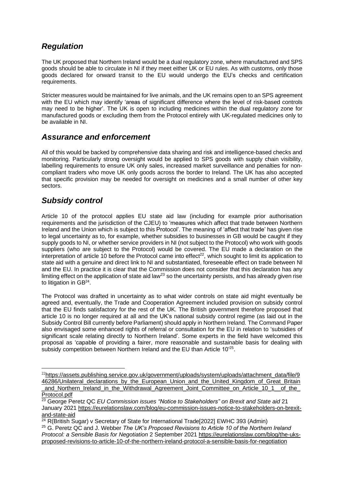# *Regulation*

The UK proposed that Northern Ireland would be a dual regulatory zone, where manufactured and SPS goods should be able to circulate in NI if they meet either UK or EU rules. As with customs, only those goods declared for onward transit to the EU would undergo the EU's checks and certification requirements.

Stricter measures would be maintained for live animals, and the UK remains open to an SPS agreement with the EU which may identify 'areas of significant difference where the level of risk-based controls may need to be higher'. The UK is open to including medicines within the dual regulatory zone for manufactured goods or excluding them from the Protocol entirely with UK-regulated medicines only to be available in NI.

### *Assurance and enforcement*

All of this would be backed by comprehensive data sharing and risk and intelligence-based checks and monitoring. Particularly strong oversight would be applied to SPS goods with supply chain visibility, labelling requirements to ensure UK only sales, increased market surveillance and penalties for noncompliant traders who move UK only goods across the border to Ireland. The UK has also accepted that specific provision may be needed for oversight on medicines and a small number of other key sectors.

## *Subsidy control*

Article 10 of the protocol applies EU state aid law (including for example prior authorisation requirements and the jurisdiction of the CJEU) to 'measures which affect that trade between Northern Ireland and the Union which is subject to this Protocol'. The meaning of 'affect that trade' has given rise to legal uncertainty as to, for example, whether subsidies to businesses in GB would be caught if they supply goods to NI, or whether service providers in NI (not subject to the Protocol) who work with goods suppliers (who are subject to the Protocol) would be covered. The EU made a declaration on the interpretation of article 10 before the Protocol came into effect<sup>22</sup>, which sought to limit its application to state aid with a genuine and direct link to NI and substantiated, foreseeable effect on trade between NI and the EU. In practice it is clear that the Commission does not consider that this declaration has any limiting effect on the application of state aid law<sup>23</sup> so the uncertainty persists, and has already given rise to litigation in GB<sup>24</sup>.

The Protocol was drafted in uncertainty as to what wider controls on state aid might eventually be agreed and, eventually, the Trade and Cooperation Agreement included provision on subsidy control that the EU finds satisfactory for the rest of the UK. The British government therefore proposed that article 10 is no longer required at all and the UK's national subsidy control regime (as laid out in the Subsidy Control Bill currently before Parliament) should apply in Northern Ireland. The Command Paper also envisaged some enhanced rights of referral or consultation for the EU in relation to 'subsidies of significant scale relating directly to Northern Ireland'. Some experts in the field have welcomed this proposal as 'capable of providing a fairer, more reasonable and sustainable basis for dealing with subsidy competition between Northern Ireland and the EU than Article 10'25.

<sup>&</sup>lt;sup>22</sup>[https://assets.publishing.service.gov.uk/government/uploads/system/uploads/attachment\\_data/file/9](https://assets.publishing.service.gov.uk/government/uploads/system/uploads/attachment_data/file/946286/Unilateral_declarations_by_the_European_Union_and_the_United_Kingdom_of_Great_Britain_and_Northern_Ireland_in_the_Withdrawal_Agreement_Joint_Committee_on_Article_10_1__of_the_Protocol.pdf) 46286/Unilateral declarations by the European Union and the United Kingdom of Great Britain [\\_and\\_Northern\\_Ireland\\_in\\_the\\_Withdrawal\\_Agreement\\_Joint\\_Committee\\_on\\_Article\\_10\\_1\\_\\_of\\_the\\_](https://assets.publishing.service.gov.uk/government/uploads/system/uploads/attachment_data/file/946286/Unilateral_declarations_by_the_European_Union_and_the_United_Kingdom_of_Great_Britain_and_Northern_Ireland_in_the_Withdrawal_Agreement_Joint_Committee_on_Article_10_1__of_the_Protocol.pdf) [Protocol.pdf](https://assets.publishing.service.gov.uk/government/uploads/system/uploads/attachment_data/file/946286/Unilateral_declarations_by_the_European_Union_and_the_United_Kingdom_of_Great_Britain_and_Northern_Ireland_in_the_Withdrawal_Agreement_Joint_Committee_on_Article_10_1__of_the_Protocol.pdf)

<sup>23</sup> George Peretz QC *EU Commission issues "Notice to Stakeholders" on Brexit and State aid* 21 January 2021 [https://eurelationslaw.com/blog/eu-commission-issues-notice-to-stakeholders-on-brexit](https://eurelationslaw.com/blog/eu-commission-issues-notice-to-stakeholders-on-brexit-and-state-aid)[and-state-aid](https://eurelationslaw.com/blog/eu-commission-issues-notice-to-stakeholders-on-brexit-and-state-aid)

<sup>&</sup>lt;sup>24</sup> R(British Sugar) v Secretary of State for International Trade[2022] EWHC 393 (Admin)

<sup>25</sup> G. Peretz QC and J. Webber *The UK's Proposed Revisions to Article 10 of the Northern Ireland Protocol: a Sensible Basis for Negotiation* 2 September 2021 [https://eurelationslaw.com/blog/the-uks](https://eurelationslaw.com/blog/the-uks-proposed-revisions-to-article-10-of-the-northern-ireland-protocol-a-sensible-basis-for-negotiation)[proposed-revisions-to-article-10-of-the-northern-ireland-protocol-a-sensible-basis-for-negotiation](https://eurelationslaw.com/blog/the-uks-proposed-revisions-to-article-10-of-the-northern-ireland-protocol-a-sensible-basis-for-negotiation)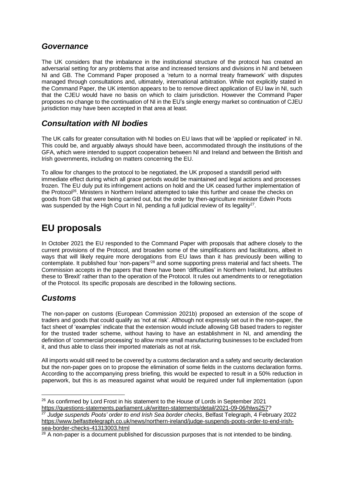#### *Governance*

The UK considers that the imbalance in the institutional structure of the protocol has created an adversarial setting for any problems that arise and increased tensions and divisions in NI and between NI and GB. The Command Paper proposed a 'return to a normal treaty framework' with disputes managed through consultations and, ultimately, international arbitration. While not explicitly stated in the Command Paper, the UK intention appears to be to remove direct application of EU law in NI, such that the CJEU would have no basis on which to claim jurisdiction. However the Command Paper proposes no change to the continuation of NI in the EU's single energy market so continuation of CJEU jurisdiction may have been accepted in that area at least.

### *Consultation with NI bodies*

The UK calls for greater consultation with NI bodies on EU laws that will be 'applied or replicated' in NI. This could be, and arguably always should have been, accommodated through the institutions of the GFA, which were intended to support cooperation between NI and Ireland and between the British and Irish governments, including on matters concerning the EU.

To allow for changes to the protocol to be negotiated, the UK proposed a standstill period with immediate effect during which all grace periods would be maintained and legal actions and processes frozen. The EU duly put its infringement actions on hold and the UK ceased further implementation of the Protocol<sup>26</sup>. Ministers in Northern Ireland attempted to take this further and cease the checks on goods from GB that were being carried out, but the order by then-agriculture minister Edwin Poots was suspended by the High Court in NI, pending a full judicial review of its legality<sup>27</sup>.

# **EU proposals**

In October 2021 the EU responded to the Command Paper with proposals that adhere closely to the current provisions of the Protocol, and broaden some of the simplifications and facilitations, albeit in ways that will likely require more derogations from EU laws than it has previously been willing to contemplate. It published four 'non-papers'<sup>28</sup> and some supporting press material and fact sheets. The Commission accepts in the papers that there have been 'difficulties' in Northern Ireland, but attributes these to 'Brexit' rather than to the operation of the Protocol. It rules out amendments to or renegotiation of the Protocol. Its specific proposals are described in the following sections.

# *Customs*

The non-paper on customs (European Commission 2021b) proposed an extension of the scope of traders and goods that could qualify as 'not at risk'. Although not expressly set out in the non-paper, the fact sheet of 'examples' indicate that the extension would include allowing GB based traders to register for the trusted trader scheme, without having to have an establishment in NI, and amending the definition of 'commercial processing' to allow more small manufacturing businesses to be excluded from it, and thus able to class their imported materials as not at risk.

All imports would still need to be covered by a customs declaration and a safety and security declaration but the non-paper goes on to propose the elimination of some fields in the customs declaration forms. According to the accompanying press briefing, this would be expected to result in a 50% reduction in paperwork, but this is as measured against what would be required under full implementation (upon

<sup>&</sup>lt;sup>26</sup> As confirmed by Lord Frost in his statement to the House of Lords in September 2021 [https://questions-statements.parliament.uk/written-statements/detail/2021-09-06/hlws257?](https://questions-statements.parliament.uk/written-statements/detail/2021-09-06/hlws257)

<sup>27</sup> *Judge suspends Poots' order to end Irish Sea border checks*, Belfast Telegraph, 4 February 2022 [https://www.belfasttelegraph.co.uk/news/northern-ireland/judge-suspends-poots-order-to-end-irish](https://www.belfasttelegraph.co.uk/news/northern-ireland/judge-suspends-poots-order-to-end-irish-sea-border-checks-41313003.html)[sea-border-checks-41313003.html](https://www.belfasttelegraph.co.uk/news/northern-ireland/judge-suspends-poots-order-to-end-irish-sea-border-checks-41313003.html)

 $^{28}$  A non-paper is a document published for discussion purposes that is not intended to be binding.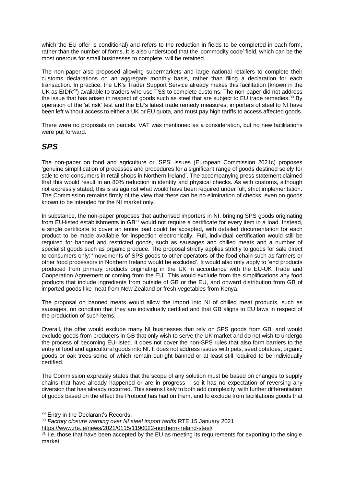which the EU offer is conditional) and refers to the reduction in fields to be completed in each form, rather than the number of forms. It is also understood that the 'commodity code' field, which can be the most onerous for small businesses to complete, will be retained.

The non-paper also proposed allowing supermarkets and large national retailers to complete their customs declarations on an aggregate monthly basis, rather than filing a declaration for each transaction. In practice, the UK's Trader Support Service already makes this facilitation (known in the UK as EIDR<sup>29</sup>) available to traders who use TSS to complete customs. The non-paper did not address the issue that has arisen in respect of goods such as steel that are subject to EU trade remedies.<sup>30</sup> By operation of the 'at risk' test and the EU's latest trade remedy measures, importers of steel to NI have been left without access to either a UK or EU quota, and must pay high tariffs to access affected goods.

There were no proposals on parcels. VAT was mentioned as a consideration, but no new facilitations were put forward.

#### *SPS*

The non-paper on food and agriculture or 'SPS' issues (European Commission 2021c) proposes 'genuine simplification of processes and procedures for a significant range of goods destined solely for sale to end consumers in retail shops in Northern Ireland'. The accompanying press statement claimed that this would result in an 80% reduction in identity and physical checks. As with customs, although not expressly stated, this is as against what would have been required under full, strict implementation. The Commission remains firmly of the view that there can be no elimination of checks, even on goods known to be intended for the NI market only.

In substance, the non-paper proposes that authorised importers in NI, bringing SPS goods originating from EU-listed establishments in GB<sup>31</sup> would not require a certificate for every item in a load. Instead, a single certificate to cover an entire load could be accepted, with detailed documentation for each product to be made available for inspection electronically. Full, individual certification would still be required for banned and restricted goods, such as sausages and chilled meats and a number of specialist goods such as organic produce. The proposal strictly applies strictly to goods for sale direct to consumers only: 'movements of SPS goods to other operators of the food chain such as farmers or other food processors in Northern Ireland would be excluded'. It would also only apply to 'end products produced from primary products originating in the UK in accordance with the EU-UK Trade and Cooperation Agreement or coming from the EU'. This would exclude from the simplifications any food products that include ingredients from outside of GB or the EU, and onward distribution from GB of imported goods like meat from New Zealand or fresh vegetables from Kenya.

The proposal on banned meats would allow the import into NI of chilled meat products, such as sausages, on condition that they are individually certified and that GB aligns to EU laws in respect of the production of such items.

Overall, the offer would exclude many NI businesses that rely on SPS goods from GB, and would exclude goods from producers in GB that only wish to serve the UK market and do not wish to undergo the process of becoming EU-listed. It does not cover the non-SPS rules that also form barriers to the entry of food and agricultural goods into NI. It does not address issues with pets, seed potatoes, organic goods or oak trees some of which remain outright banned or at least still required to be individually certified.

The Commission expressly states that the scope of any solution must be based on changes to supply chains that have already happened or are in progress – so it has no expectation of reversing any diversion that has already occurred. This seems likely to both add complexity, with further differentiation of goods based on the effect the Protocol has had on them, and to exclude from facilitations goods that

<sup>29</sup> Entry in the Declarant's Records.

<sup>30</sup> *Factory closure warning over NI steel import tariffs* RTE 15 January 2021

<https://www.rte.ie/news/2021/0115/1190022-northern-ireland-steel/>

 $31$  I.e. those that have been accepted by the EU as meeting its requirements for exporting to the single market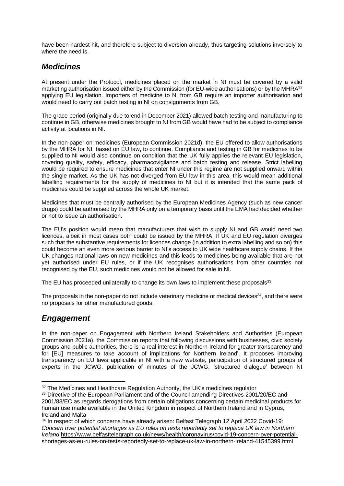have been hardest hit, and therefore subject to diversion already, thus targeting solutions inversely to where the need is.

### *Medicines*

At present under the Protocol, medicines placed on the market in NI must be covered by a valid marketing authorisation issued either by the Commission (for EU-wide authorisations) or by the MHRA<sup>32</sup> applying EU legislation. Importers of medicine to NI from GB require an importer authorisation and would need to carry out batch testing in NI on consignments from GB.

The grace period (originally due to end in December 2021) allowed batch testing and manufacturing to continue in GB, otherwise medicines brought to NI from GB would have had to be subject to compliance activity at locations in NI.

In the non-paper on medicines (European Commission 2021d), the EU offered to allow authorisations by the MHRA for NI, based on EU law, to continue. Compliance and testing in GB for medicines to be supplied to NI would also continue on condition that the UK fully applies the relevant EU legislation, covering quality, safety, efficacy, pharmacovigilance and batch testing and release. Strict labelling would be required to ensure medicines that enter NI under this regime are not supplied onward within the single market. As the UK has not diverged from EU law in this area, this would mean additional labelling requirements for the supply of medicines to NI but it is intended that the same pack of medicines could be supplied across the whole UK market.

Medicines that must be centrally authorised by the European Medicines Agency (such as new cancer drugs) could be authorised by the MHRA only on a temporary basis until the EMA had decided whether or not to issue an authorisation.

The EU's position would mean that manufacturers that wish to supply NI and GB would need two licences, albeit in most cases both could be issued by the MHRA. If UK and EU regulation diverges such that the substantive requirements for licences change (in addition to extra labelling and so on) this could become an even more serious barrier to NI's access to UK wide healthcare supply chains. If the UK changes national laws on new medicines and this leads to medicines being available that are not yet authorised under EU rules, or if the UK recognises authorisations from other countries not recognised by the EU, such medicines would not be allowed for sale in NI.

The EU has proceeded unilaterally to change its own laws to implement these proposals $^{33}$ .

The proposals in the non-paper do not include veterinary medicine or medical devices<sup>34</sup>, and there were no proposals for other manufactured goods.

### *Engagement*

In the non-paper on Engagement with Northern Ireland Stakeholders and Authorities (European Commission 2021a), the Commission reports that following discussions with businesses, civic society groups and public authorities, there is 'a real interest in Northern Ireland for greater transparency and for [EU] measures to take account of implications for Northern Ireland'. It proposes improving transparency on EU laws applicable in NI with a new website, participation of structured groups of experts in the JCWG, publication of minutes of the JCWG, 'structured dialogue' between NI

<sup>&</sup>lt;sup>32</sup> The Medicines and Healthcare Regulation Authority, the UK's medicines regulator

<sup>&</sup>lt;sup>33</sup> Directive of the European Parliament and of the Council amending Directives 2001/20/EC and 2001/83/EC as regards derogations from certain obligations concerning certain medicinal products for human use made available in the United Kingdom in respect of Northern Ireland and in Cyprus, Ireland and Malta

<sup>&</sup>lt;sup>34</sup> In respect of which concerns have already arisen: Belfast Telegraph 12 April 2022 Covid-19: *Concern over potential shortages as EU rules on tests reportedly set to replace UK law in Northern Ireland* [https://www.belfasttelegraph.co.uk/news/health/coronavirus/covid-19-concern-over-potential](https://www.belfasttelegraph.co.uk/news/health/coronavirus/covid-19-concern-over-potential-shortages-as-eu-rules-on-tests-reportedly-set-to-replace-uk-law-in-northern-ireland-41545399.html)[shortages-as-eu-rules-on-tests-reportedly-set-to-replace-uk-law-in-northern-ireland-41545399.html](https://www.belfasttelegraph.co.uk/news/health/coronavirus/covid-19-concern-over-potential-shortages-as-eu-rules-on-tests-reportedly-set-to-replace-uk-law-in-northern-ireland-41545399.html)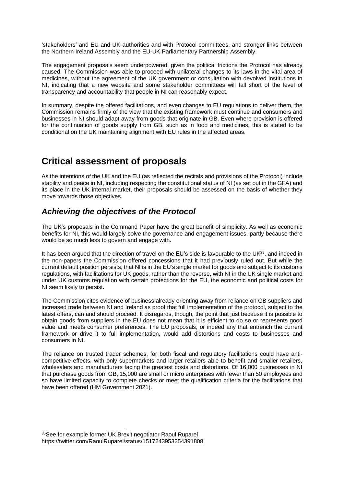'stakeholders' and EU and UK authorities and with Protocol committees, and stronger links between the Northern Ireland Assembly and the EU-UK Parliamentary Partnership Assembly.

The engagement proposals seem underpowered, given the political frictions the Protocol has already caused. The Commission was able to proceed with unilateral changes to its laws in the vital area of medicines, without the agreement of the UK government or consultation with devolved institutions in NI, indicating that a new website and some stakeholder committees will fall short of the level of transparency and accountability that people in NI can reasonably expect.

In summary, despite the offered facilitations, and even changes to EU regulations to deliver them, the Commission remains firmly of the view that the existing framework must continue and consumers and businesses in NI should adapt away from goods that originate in GB. Even where provision is offered for the continuation of goods supply from GB, such as in food and medicines, this is stated to be conditional on the UK maintaining alignment with EU rules in the affected areas.

# **Critical assessment of proposals**

As the intentions of the UK and the EU (as reflected the recitals and provisions of the Protocol) include stability and peace in NI, including respecting the constitutional status of NI (as set out in the GFA) and its place in the UK internal market, their proposals should be assessed on the basis of whether they move towards those objectives.

## *Achieving the objectives of the Protocol*

The UK's proposals in the Command Paper have the great benefit of simplicity. As well as economic benefits for NI, this would largely solve the governance and engagement issues, partly because there would be so much less to govern and engage with.

It has been argued that the direction of travel on the EU's side is favourable to the UK<sup>35</sup>, and indeed in the non-papers the Commission offered concessions that it had previously ruled out. But while the current default position persists, that NI is in the EU's single market for goods and subject to its customs regulations, with facilitations for UK goods, rather than the reverse, with NI in the UK single market and under UK customs regulation with certain protections for the EU, the economic and political costs for NI seem likely to persist.

The Commission cites evidence of business already orienting away from reliance on GB suppliers and increased trade between NI and Ireland as proof that full implementation of the protocol, subject to the latest offers, can and should proceed. It disregards, though, the point that just because it is possible to obtain goods from suppliers in the EU does not mean that it is efficient to do so or represents good value and meets consumer preferences. The EU proposals, or indeed any that entrench the current framework or drive it to full implementation, would add distortions and costs to businesses and consumers in NI.

The reliance on trusted trader schemes, for both fiscal and regulatory facilitations could have anticompetitive effects, with only supermarkets and larger retailers able to benefit and smaller retailers, wholesalers and manufacturers facing the greatest costs and distortions. Of 16,000 businesses in NI that purchase goods from GB, 15,000 are small or micro enterprises with fewer than 50 employees and so have limited capacity to complete checks or meet the qualification criteria for the facilitations that have been offered (HM Government 2021).

<sup>35</sup>See for example former UK Brexit negotiator Raoul Ruparel <https://twitter.com/RaoulRuparel/status/1517243953254391808>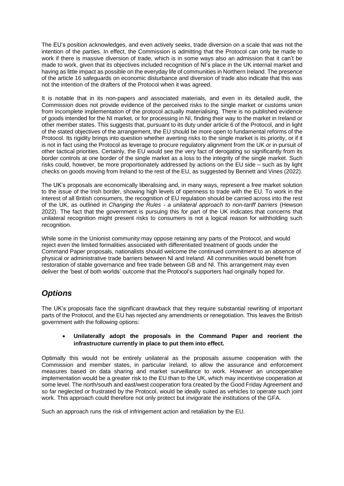The EU's position acknowledges, and even actively seeks, trade diversion on a scale that was not the intention of the parties. In effect, the Commission is admitting that the Protocol can only be made to work if there is massive diversion of trade, which is in some ways also an admission that it can't be made to work, given that its objectives included recognition of NI's place in the UK internal market and having as little impact as possible on the everyday life of communities in Northern Ireland. The presence of the article 16 safeguards on economic disturbance and diversion of trade also indicate that this was not the intention of the drafters of the Protocol when it was agreed.

It is notable that in its non-papers and associated materials, and even in its detailed audit, the Commission does not provide evidence of the perceived risks to the single market or customs union from incomplete implementation of the protocol actually materialising. There is no published evidence of goods intended for the NI market, or for processing in NI, finding their way to the market in Ireland or other member states. This suggests that, pursuant to its duty under article 6 of the Protocol, and in light of the stated objectives of the arrangement, the EU should be more open to fundamental reforms of the Protocol. Its rigidity brings into question whether averting risks to the single market is its priority, or if it is not in fact using the Protocol as leverage to procure regulatory alignment from the UK or in pursuit of other tactical priorities. Certainly, the EU would see the very fact of derogating so significantly from its border controls at one border of the single market as a loss to the integrity of the single market. Such risks could, however, be more proportionately addressed by actions on the EU side – such as by light checks on goods moving from Ireland to the rest of the EU, as suggested by Bennett and Vines (2022).

The UK's proposals are economically liberalising and, in many ways, represent a free market solution to the issue of the Irish border, showing high levels of openness to trade with the EU. To work in the interest of all British consumers, the recognition of EU regulation should be carried across into the rest of the UK, as outlined in *Changing the Rules - a unilateral approach to non-tariff barriers* (Hewson 2022). The fact that the government is pursuing this for part of the UK indicates that concerns that unilateral recognition might present risks to consumers is not a logical reason for withholding such recognition.

While some in the Unionist community may oppose retaining any parts of the Protocol, and would reject even the limited formalities associated with differentiated treatment of goods under the Command Paper proposals, nationalists should welcome the continued commitment to an absence of physical or administrative trade barriers between NI and Ireland. All communities would benefit from restoration of stable governance and free trade between GB and NI. This arrangement may even deliver the 'best of both worlds' outcome that the Protocol's supporters had originally hoped for.

# *Options*

The UK's proposals face the significant drawback that they require substantial rewriting of important parts of the Protocol, and the EU has rejected any amendments or renegotiation. This leaves the British government with the following options:

#### • **Unilaterally adopt the proposals in the Command Paper and reorient the infrastructure currently in place to put them into effect.**

Optimally this would not be entirely unilateral as the proposals assume cooperation with the Commission and member states, in particular Ireland, to allow the assurance and enforcement measures based on data sharing and market surveillance to work. However an uncooperative implementation would be a greater risk to the EU than to the UK, which may incentivise cooperation at some level. The north/south and east/west cooperation fora created by the Good Friday Agreement and so far neglected or frustrated by the Protocol, would be ideally suited as vehicles to operate such joint work. This approach could therefore not only protect but invigorate the institutions of the GFA.

Such an approach runs the risk of infringement action and retaliation by the EU.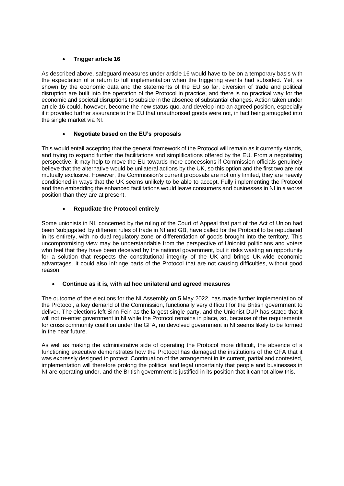#### • **Trigger article 16**

As described above, safeguard measures under article 16 would have to be on a temporary basis with the expectation of a return to full implementation when the triggering events had subsided. Yet, as shown by the economic data and the statements of the EU so far, diversion of trade and political disruption are built into the operation of the Protocol in practice, and there is no practical way for the economic and societal disruptions to subside in the absence of substantial changes. Action taken under article 16 could, however, become the new status quo, and develop into an agreed position, especially if it provided further assurance to the EU that unauthorised goods were not, in fact being smuggled into the single market via NI.

#### • **Negotiate based on the EU's proposals**

This would entail accepting that the general framework of the Protocol will remain as it currently stands, and trying to expand further the facilitations and simplifications offered by the EU. From a negotiating perspective, it may help to move the EU towards more concessions if Commission officials genuinely believe that the alternative would be unilateral actions by the UK, so this option and the first two are not mutually exclusive. However, the Commission's current proposals are not only limited, they are heavily conditioned in ways that the UK seems unlikely to be able to accept. Fully implementing the Protocol and then embedding the enhanced facilitations would leave consumers and businesses in NI in a worse position than they are at present.

#### • **Repudiate the Protocol entirely**

Some unionists in NI, concerned by the ruling of the Court of Appeal that part of the Act of Union had been 'subjugated' by different rules of trade in NI and GB, have called for the Protocol to be repudiated in its entirety, with no dual regulatory zone or differentiation of goods brought into the territory. This uncompromising view may be understandable from the perspective of Unionist politicians and voters who feel that they have been deceived by the national government, but it risks wasting an opportunity for a solution that respects the constitutional integrity of the UK and brings UK-wide economic advantages. It could also infringe parts of the Protocol that are not causing difficulties, without good reason.

#### • **Continue as it is, with ad hoc unilateral and agreed measures**

The outcome of the elections for the NI Assembly on 5 May 2022, has made further implementation of the Protocol, a key demand of the Commission, functionally very difficult for the British government to deliver. The elections left Sinn Fein as the largest single party, and the Unionist DUP has stated that it will not re-enter government in NI while the Protocol remains in place, so, because of the requirements for cross community coalition under the GFA, no devolved government in NI seems likely to be formed in the near future.

As well as making the administrative side of operating the Protocol more difficult, the absence of a functioning executive demonstrates how the Protocol has damaged the institutions of the GFA that it was expressly designed to protect. Continuation of the arrangement in its current, partial and contested, implementation will therefore prolong the political and legal uncertainty that people and businesses in NI are operating under, and the British government is justified in its position that it cannot allow this.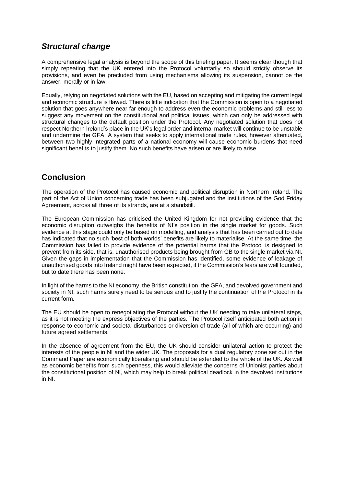### *Structural change*

A comprehensive legal analysis is beyond the scope of this briefing paper. It seems clear though that simply repeating that the UK entered into the Protocol voluntarily so should strictly observe its provisions, and even be precluded from using mechanisms allowing its suspension, cannot be the answer, morally or in law.

Equally, relying on negotiated solutions with the EU, based on accepting and mitigating the current legal and economic structure is flawed. There is little indication that the Commission is open to a negotiated solution that goes anywhere near far enough to address even the economic problems and still less to suggest any movement on the constitutional and political issues, which can only be addressed with structural changes to the default position under the Protocol. Any negotiated solution that does not respect Northern Ireland's place in the UK's legal order and internal market will continue to be unstable and undermine the GFA. A system that seeks to apply international trade rules, however attenuated, between two highly integrated parts of a national economy will cause economic burdens that need significant benefits to justify them. No such benefits have arisen or are likely to arise.

### **Conclusion**

The operation of the Protocol has caused economic and political disruption in Northern Ireland. The part of the Act of Union concerning trade has been subjugated and the institutions of the God Friday Agreement, across all three of its strands, are at a standstill.

The European Commission has criticised the United Kingdom for not providing evidence that the economic disruption outweighs the benefits of NI's position in the single market for goods. Such evidence at this stage could only be based on modelling, and analysis that has been carried out to date has indicated that no such 'best of both worlds' benefits are likely to materialise. At the same time, the Commission has failed to provide evidence of the potential harms that the Protocol is designed to prevent from its side, that is, unauthorised products being brought from GB to the single market via NI. Given the gaps in implementation that the Commission has identified, some evidence of leakage of unauthorised goods into Ireland might have been expected, if the Commission's fears are well founded, but to date there has been none.

In light of the harms to the NI economy, the British constitution, the GFA, and devolved government and society in NI, such harms surely need to be serious and to justify the continuation of the Protocol in its current form.

The EU should be open to renegotiating the Protocol without the UK needing to take unilateral steps, as it is not meeting the express objectives of the parties. The Protocol itself anticipated both action in response to economic and societal disturbances or diversion of trade (all of which are occurring) and future agreed settlements.

In the absence of agreement from the EU, the UK should consider unilateral action to protect the interests of the people in NI and the wider UK. The proposals for a dual regulatory zone set out in the Command Paper are economically liberalising and should be extended to the whole of the UK. As well as economic benefits from such openness, this would alleviate the concerns of Unionist parties about the constitutional position of NI, which may help to break political deadlock in the devolved institutions in NI.